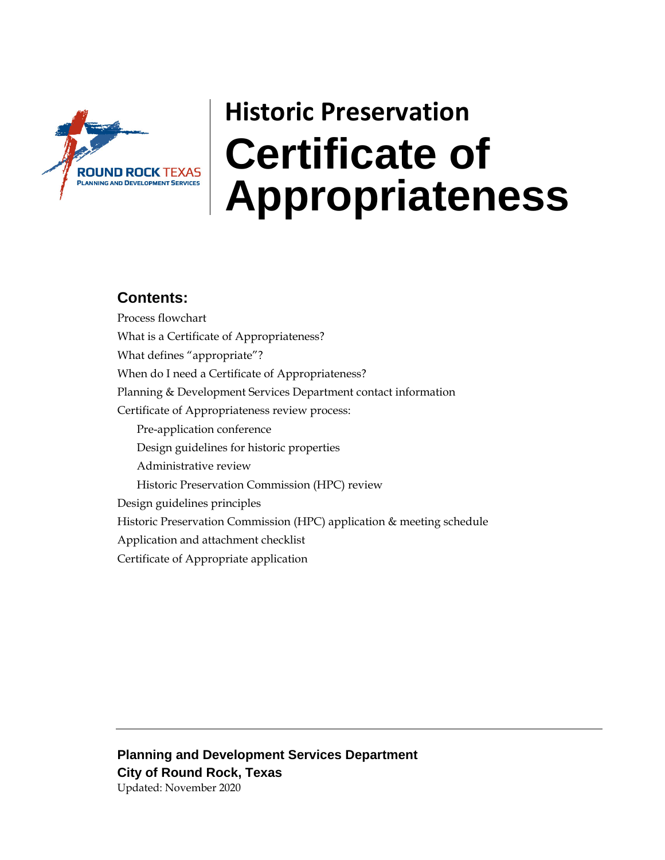

# **Historic Preservation Certificate of**  ROUND ROCK TEXAS **Appropriatelas Appropriatelas**

### **Contents:**

Process flowchart What is a Certificate of Appropriateness? What defines "appropriate"? When do I need a Certificate of Appropriateness? Planning & Development Services Department contact information Certificate of Appropriateness review process: Pre-application conference Design guidelines for historic properties Administrative review Historic Preservation Commission (HPC) review Design guidelines principles Historic Preservation Commission (HPC) application & meeting schedule Application and attachment checklist Certificate of Appropriate application

**Planning and Development Services Department City of Round Rock, Texas**  Updated: November 2020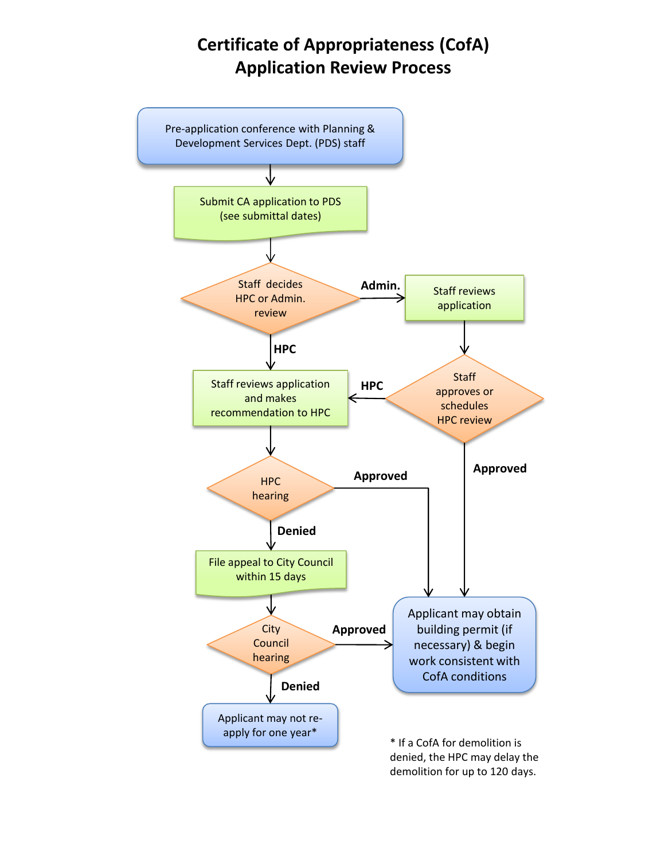### **Certificate of Appropriateness (CofA) Application Review Process**

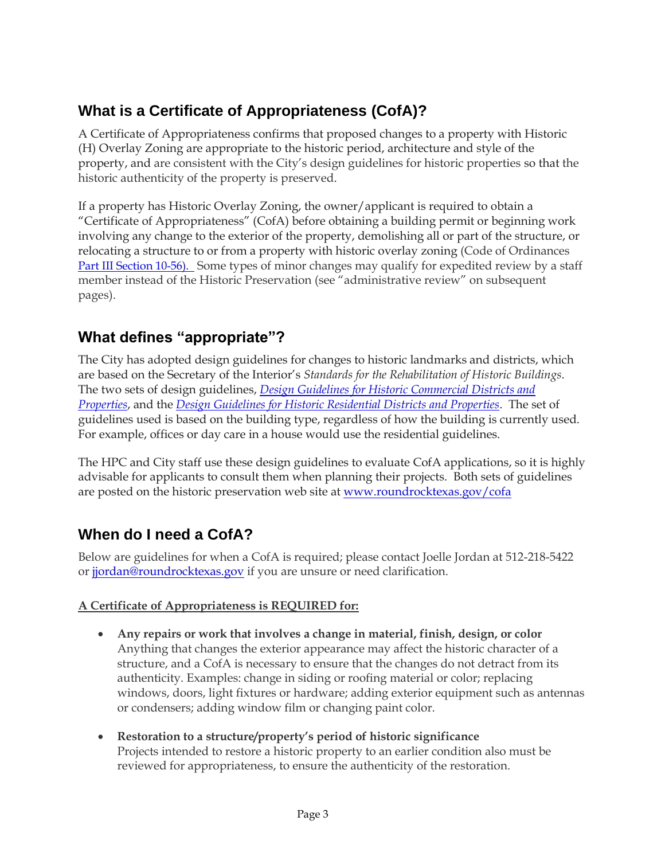### **What is a Certificate of Appropriateness (CofA)?**

A Certificate of Appropriateness confirms that proposed changes to a property with Historic (H) Overlay Zoning are appropriate to the historic period, architecture and style of the property, and are consistent with the City's design guidelines for historic properties so that the historic authenticity of the property is preserved.

If a property has Historic Overlay Zoning, the owner/applicant is required to obtain a "Certificate of Appropriateness" (CofA) before obtaining a building permit or beginning work involving any change to the exterior of the property, demolishing all or part of the structure, or relocating a structure to or from a property with historic overlay zoning (Code of Ordinances [Part III Section 10-56\)](https://library.municode.com/tx/round_rock/codes/code_of_ordinances?nodeId=PTIIIZODECO_CH10ZODEREPRBO_ARTVIIIHIPR_S10-56CEAP). Some types of minor changes may qualify for expedited review by a staff member instead of the Historic Preservation (see "administrative review" on subsequent pages).

### **What defines "appropriate"?**

The City has adopted design guidelines for changes to historic landmarks and districts, which are based on the Secretary of the Interior's *Standards for the Rehabilitation of Historic Buildings*. The two sets of design guidelines, *[Design Guidelines for Historic Commercial Districts and](http://www.roundrocktexas.gov/docs/112261812012historicdesignguidelines-commercial.pdf)  [Properties](http://www.roundrocktexas.gov/docs/112261812012historicdesignguidelines-commercial.pdf)*, and the *[Design Guidelines for Historic Residential Districts and Properties](http://www.roundrocktexas.gov/docs/112581812012historicdesignguidelines-residential.pdf)*. The set of guidelines used is based on the building type, regardless of how the building is currently used. For example, offices or day care in a house would use the residential guidelines.

The HPC and City staff use these design guidelines to evaluate CofA applications, so it is highly advisable for applicants to consult them when planning their projects. Both sets of guidelines are posted on the historic preservation web site at [www.roundrocktexas.gov/cofa](http://www.roundrocktexas.gov/cofa)

### **When do I need a CofA?**

Below are guidelines for when a CofA is required; please contact Joelle Jordan at 512-218-5422 or [jjordan@roundrocktexas.gov](mailto:jjordan@roundrocktexas.gov) if you are unsure or need clarification.

### **A Certificate of Appropriateness is REQUIRED for:**

- **Any repairs or work that involves a change in material, finish, design, or color**  Anything that changes the exterior appearance may affect the historic character of a structure, and a CofA is necessary to ensure that the changes do not detract from its authenticity. Examples: change in siding or roofing material or color; replacing windows, doors, light fixtures or hardware; adding exterior equipment such as antennas or condensers; adding window film or changing paint color.
- **Restoration to a structure/property's period of historic significance** Projects intended to restore a historic property to an earlier condition also must be reviewed for appropriateness, to ensure the authenticity of the restoration.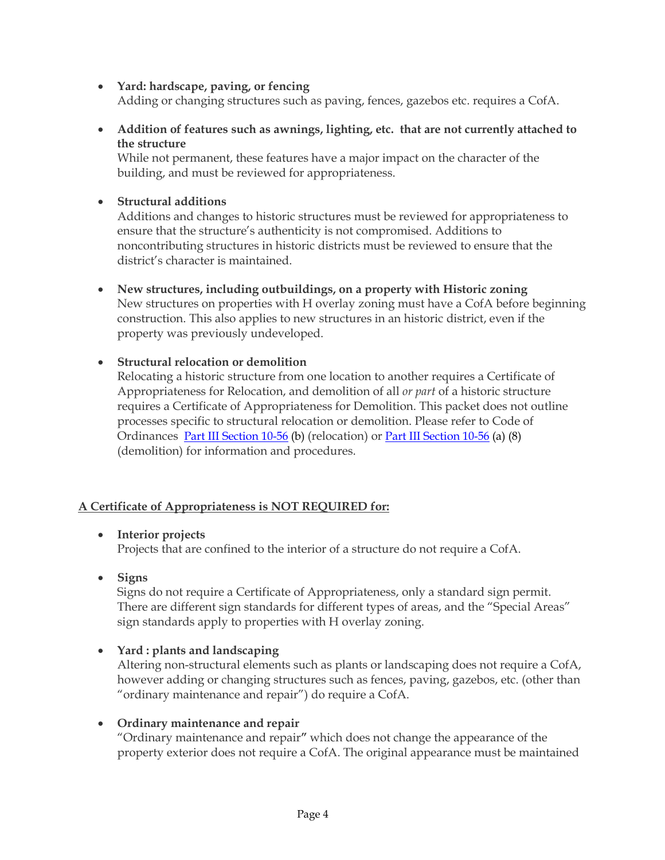- **Yard: hardscape, paving, or fencing** Adding or changing structures such as paving, fences, gazebos etc. requires a CofA.
- **Addition of features such as awnings, lighting, etc. that are not currently attached to the structure**

While not permanent, these features have a major impact on the character of the building, and must be reviewed for appropriateness.

• **Structural additions**

Additions and changes to historic structures must be reviewed for appropriateness to ensure that the structure's authenticity is not compromised. Additions to noncontributing structures in historic districts must be reviewed to ensure that the district's character is maintained.

• **New structures, including outbuildings, on a property with Historic zoning** New structures on properties with H overlay zoning must have a CofA before beginning construction. This also applies to new structures in an historic district, even if the property was previously undeveloped.

### • **Structural relocation or demolition**

Relocating a historic structure from one location to another requires a Certificate of Appropriateness for Relocation, and demolition of all *or part* of a historic structure requires a Certificate of Appropriateness for Demolition. This packet does not outline processes specific to structural relocation or demolition. Please refer to Code of Ordinances [Part III Section 10-56](https://library.municode.com/tx/round_rock/codes/code_of_ordinances?nodeId=PTIIIZODECO_CH10ZODEREPRBO_ARTVIIIHIPR_S10-56CEAP) (b) (relocation) or [Part III Section 10-56](https://library.municode.com/tx/round_rock/codes/code_of_ordinances?nodeId=PTIIIZODECO_CH10ZODEREPRBO_ARTVIIIHIPR_S10-56CEAP) (a) (8) (demolition) for information and procedures.

### **A Certificate of Appropriateness is NOT REQUIRED for:**

• **Interior projects** 

Projects that are confined to the interior of a structure do not require a CofA.

• **Signs**

Signs do not require a Certificate of Appropriateness, only a standard sign permit. There are different sign standards for different types of areas, and the "Special Areas" sign standards apply to properties with H overlay zoning.

• **Yard : plants and landscaping**

Altering non-structural elements such as plants or landscaping does not require a CofA, however adding or changing structures such as fences, paving, gazebos, etc. (other than "ordinary maintenance and repair") do require a CofA.

#### • **Ordinary maintenance and repair**

"Ordinary maintenance and repair**"** which does not change the appearance of the property exterior does not require a CofA. The original appearance must be maintained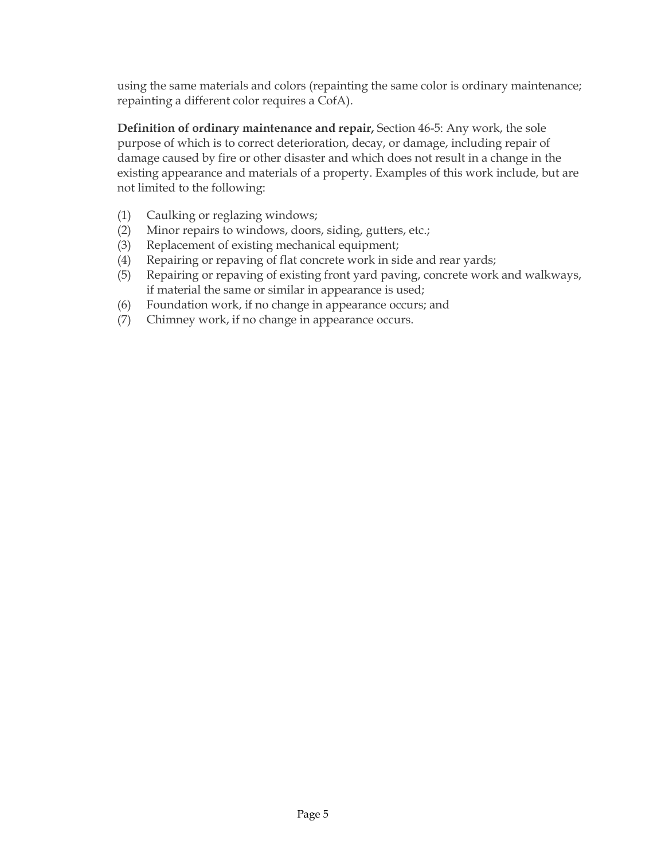using the same materials and colors (repainting the same color is ordinary maintenance; repainting a different color requires a CofA).

**Definition of ordinary maintenance and repair,** Section 46-5: Any work, the sole purpose of which is to correct deterioration, decay, or damage, including repair of damage caused by fire or other disaster and which does not result in a change in the existing appearance and materials of a property. Examples of this work include, but are not limited to the following:

- (1) Caulking or reglazing windows;
- (2) Minor repairs to windows, doors, siding, gutters, etc.;
- (3) Replacement of existing mechanical equipment;
- (4) Repairing or repaving of flat concrete work in side and rear yards;
- (5) Repairing or repaving of existing front yard paving, concrete work and walkways, if material the same or similar in appearance is used;
- (6) Foundation work, if no change in appearance occurs; and
- (7) Chimney work, if no change in appearance occurs.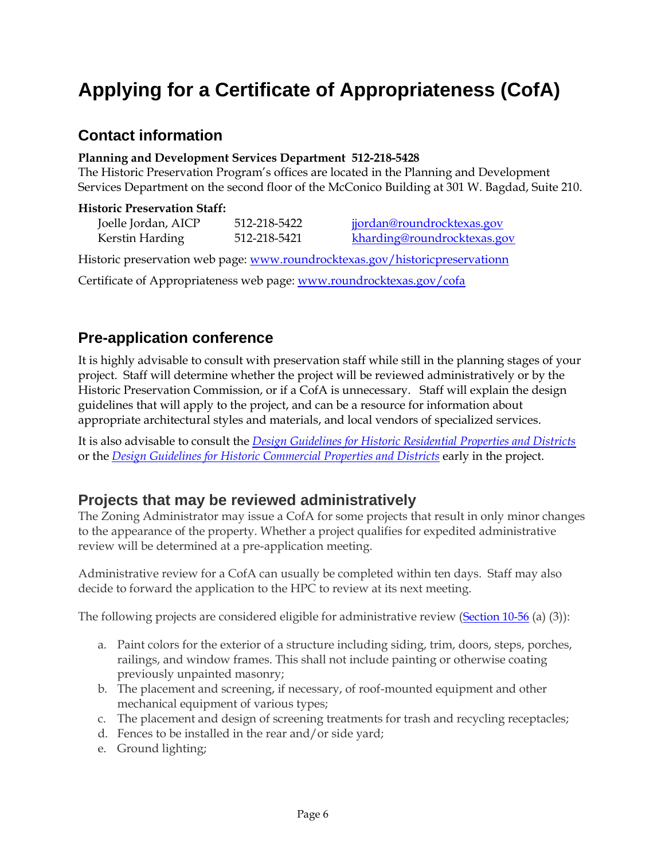# **Applying for a Certificate of Appropriateness (CofA)**

### **Contact information**

#### **Planning and Development Services Department 512-218-5428**

The Historic Preservation Program's offices are located in the Planning and Development Services Department on the second floor of the McConico Building at 301 W. Bagdad, Suite 210.

#### **Historic Preservation Staff:**

| Joelle Jordan, AICP | 512-218-5422 | jjordan@roundrocktexas.gov  |
|---------------------|--------------|-----------------------------|
| Kerstin Harding     | 512-218-5421 | kharding@roundrocktexas.gov |

Historic preservation web page: [www.roundrocktexas.gov/historicpreservationn](http://www.roundrocktexas.gov/historicpreservation)

Certificate of Appropriateness web page: [www.roundrocktexas.gov/cofa](http://www.roundrocktexas.gov/cofa) 

### **Pre-application conference**

It is highly advisable to consult with preservation staff while still in the planning stages of your project. Staff will determine whether the project will be reviewed administratively or by the Historic Preservation Commission, or if a CofA is unnecessary. Staff will explain the design guidelines that will apply to the project, and can be a resource for information about appropriate architectural styles and materials, and local vendors of specialized services.

It is also advisable to consult the *[Design Guidelines for Historic Residential Properties and Districts](http://www.roundrocktexas.gov/docs/112581812012historicdesignguidelines-residential.pdf)* or the *[Design Guidelines for Historic Commercial Properties and](http://www.roundrocktexas.gov/docs/112261812012historicdesignguidelines-commercial.pdf) [Districts](http://www.roundrocktexas.gov/docs/112261812012historicdesignguidelines-commercial.pdf)* early in the project.

### **Projects that may be reviewed administratively**

The Zoning Administrator may issue a CofA for some projects that result in only minor changes to the appearance of the property. Whether a project qualifies for expedited administrative review will be determined at a pre-application meeting.

Administrative review for a CofA can usually be completed within ten days. Staff may also decide to forward the application to the HPC to review at its next meeting.

The following projects are considered eligible for administrative review ([Section 10-56](https://library.municode.com/tx/round_rock/codes/code_of_ordinances?nodeId=PTIIIZODECO_CH10ZODEREPRBO_ARTVIIIHIPR_S10-56CEAP) (a) (3)):

- a. Paint colors for the exterior of a structure including siding, trim, doors, steps, porches, railings, and window frames. This shall not include painting or otherwise coating previously unpainted masonry;
- b. The placement and screening, if necessary, of roof-mounted equipment and other mechanical equipment of various types;
- c. The placement and design of screening treatments for trash and recycling receptacles;
- d. Fences to be installed in the rear and/or side yard;
- e. Ground lighting;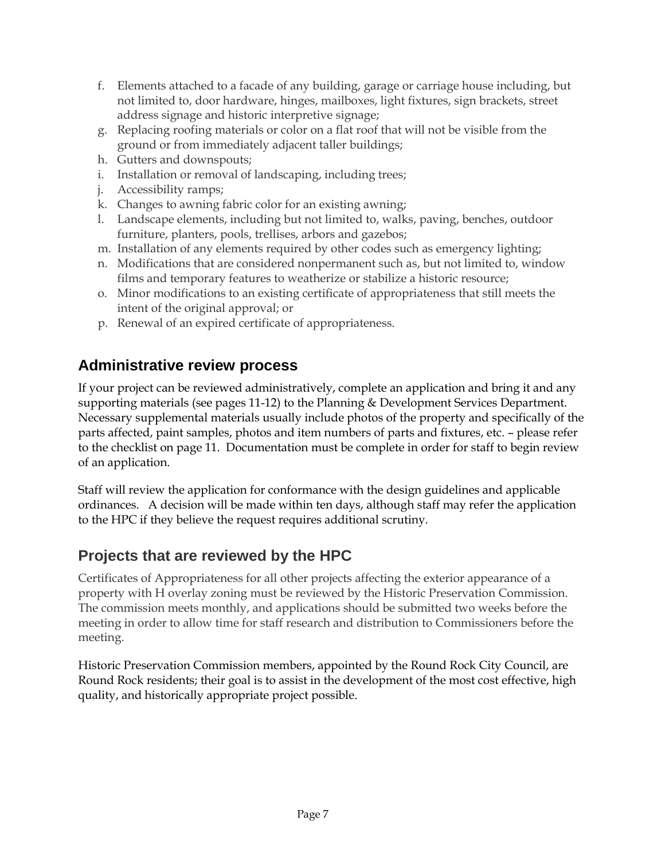- f. Elements attached to a facade of any building, garage or carriage house including, but not limited to, door hardware, hinges, mailboxes, light fixtures, sign brackets, street address signage and historic interpretive signage;
- g. Replacing roofing materials or color on a flat roof that will not be visible from the ground or from immediately adjacent taller buildings;
- h. Gutters and downspouts;
- i. Installation or removal of landscaping, including trees;
- j. Accessibility ramps;
- k. Changes to awning fabric color for an existing awning;
- l. Landscape elements, including but not limited to, walks, paving, benches, outdoor furniture, planters, pools, trellises, arbors and gazebos;
- m. Installation of any elements required by other codes such as emergency lighting;
- n. Modifications that are considered nonpermanent such as, but not limited to, window films and temporary features to weatherize or stabilize a historic resource;
- o. Minor modifications to an existing certificate of appropriateness that still meets the intent of the original approval; or
- p. Renewal of an expired certificate of appropriateness.

### **Administrative review process**

If your project can be reviewed administratively, complete an application and bring it and any supporting materials (see pages 11-12) to the Planning & Development Services Department. Necessary supplemental materials usually include photos of the property and specifically of the parts affected, paint samples, photos and item numbers of parts and fixtures, etc. – please refer to the checklist on page 11. Documentation must be complete in order for staff to begin review of an application.

Staff will review the application for conformance with the design guidelines and applicable ordinances. A decision will be made within ten days, although staff may refer the application to the HPC if they believe the request requires additional scrutiny.

### **Projects that are reviewed by the HPC**

Certificates of Appropriateness for all other projects affecting the exterior appearance of a property with H overlay zoning must be reviewed by the Historic Preservation Commission. The commission meets monthly, and applications should be submitted two weeks before the meeting in order to allow time for staff research and distribution to Commissioners before the meeting.

Historic Preservation Commission members, appointed by the Round Rock City Council, are Round Rock residents; their goal is to assist in the development of the most cost effective, high quality, and historically appropriate project possible.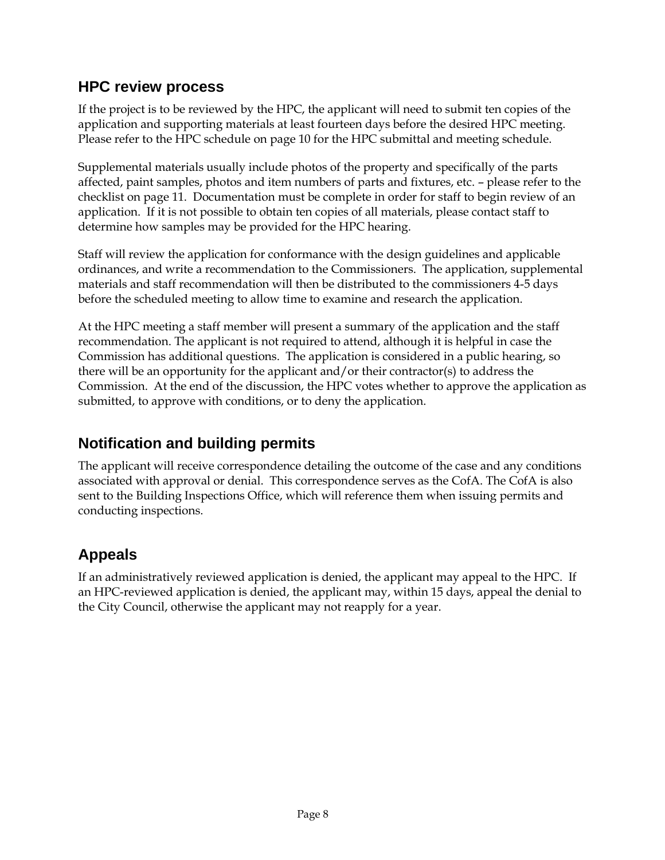### **HPC review process**

If the project is to be reviewed by the HPC, the applicant will need to submit ten copies of the application and supporting materials at least fourteen days before the desired HPC meeting. Please refer to the HPC schedule on page 10 for the HPC submittal and meeting schedule.

Supplemental materials usually include photos of the property and specifically of the parts affected, paint samples, photos and item numbers of parts and fixtures, etc. – please refer to the checklist on page 11. Documentation must be complete in order for staff to begin review of an application. If it is not possible to obtain ten copies of all materials, please contact staff to determine how samples may be provided for the HPC hearing.

Staff will review the application for conformance with the design guidelines and applicable ordinances, and write a recommendation to the Commissioners. The application, supplemental materials and staff recommendation will then be distributed to the commissioners 4-5 days before the scheduled meeting to allow time to examine and research the application.

At the HPC meeting a staff member will present a summary of the application and the staff recommendation. The applicant is not required to attend, although it is helpful in case the Commission has additional questions. The application is considered in a public hearing, so there will be an opportunity for the applicant and/or their contractor(s) to address the Commission. At the end of the discussion, the HPC votes whether to approve the application as submitted, to approve with conditions, or to deny the application.

### **Notification and building permits**

The applicant will receive correspondence detailing the outcome of the case and any conditions associated with approval or denial. This correspondence serves as the CofA. The CofA is also sent to the Building Inspections Office, which will reference them when issuing permits and conducting inspections.

### **Appeals**

If an administratively reviewed application is denied, the applicant may appeal to the HPC. If an HPC-reviewed application is denied, the applicant may, within 15 days, appeal the denial to the City Council, otherwise the applicant may not reapply for a year.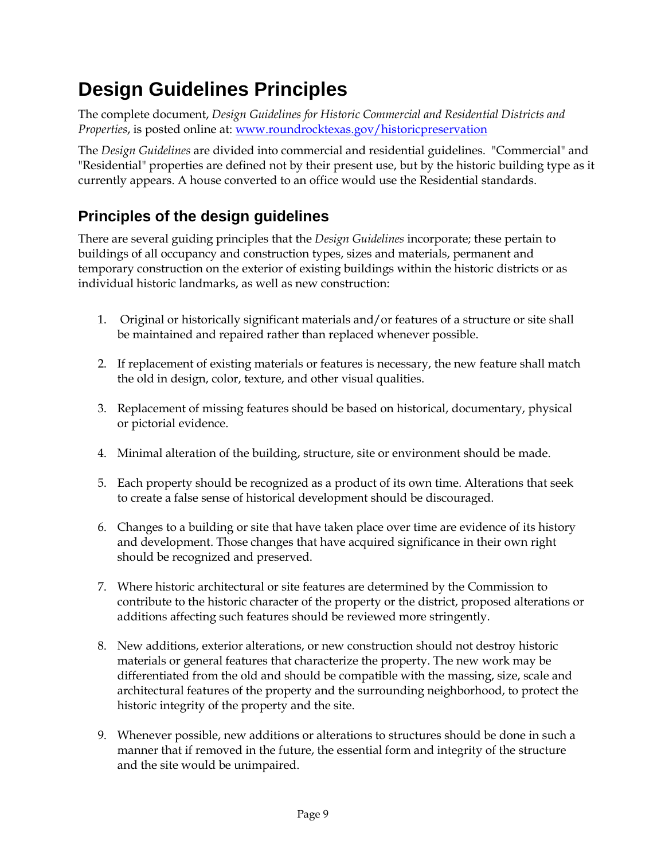## **Design Guidelines Principles**

The complete document, *Design Guidelines for Historic Commercial and Residential Districts and Properties*, is posted online at: [www.roundrocktexas.gov/historicpreservation](http://www.roundrocktexas.gov/historicpreservation)

The *Design Guidelines* are divided into commercial and residential guidelines. "Commercial" and "Residential" properties are defined not by their present use, but by the historic building type as it currently appears. A house converted to an office would use the Residential standards.

### **Principles of the design guidelines**

There are several guiding principles that the *Design Guidelines* incorporate; these pertain to buildings of all occupancy and construction types, sizes and materials, permanent and temporary construction on the exterior of existing buildings within the historic districts or as individual historic landmarks, as well as new construction:

- 1. Original or historically significant materials and/or features of a structure or site shall be maintained and repaired rather than replaced whenever possible.
- 2. If replacement of existing materials or features is necessary, the new feature shall match the old in design, color, texture, and other visual qualities.
- 3. Replacement of missing features should be based on historical, documentary, physical or pictorial evidence.
- 4. Minimal alteration of the building, structure, site or environment should be made.
- 5. Each property should be recognized as a product of its own time. Alterations that seek to create a false sense of historical development should be discouraged.
- 6. Changes to a building or site that have taken place over time are evidence of its history and development. Those changes that have acquired significance in their own right should be recognized and preserved.
- 7. Where historic architectural or site features are determined by the Commission to contribute to the historic character of the property or the district, proposed alterations or additions affecting such features should be reviewed more stringently.
- 8. New additions, exterior alterations, or new construction should not destroy historic materials or general features that characterize the property. The new work may be differentiated from the old and should be compatible with the massing, size, scale and architectural features of the property and the surrounding neighborhood, to protect the historic integrity of the property and the site.
- 9. Whenever possible, new additions or alterations to structures should be done in such a manner that if removed in the future, the essential form and integrity of the structure and the site would be unimpaired.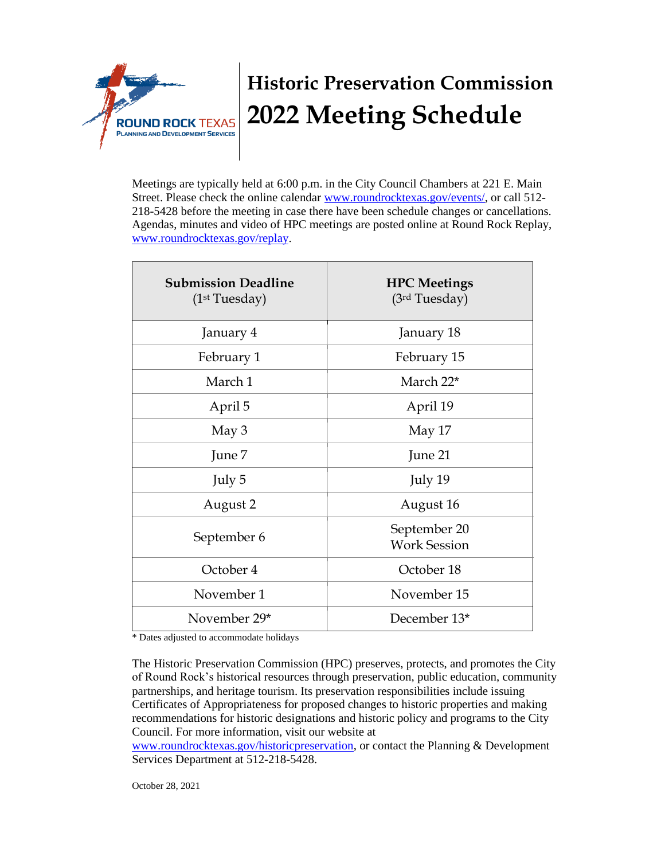

# **Historic Preservation Commission 2022 Meeting Schedule**

Meetings are typically held at 6:00 p.m. in the City Council Chambers at 221 E. Main Street. Please check the online calendar [www.roundrocktexas.gov/events/,](http://www.roundrocktexas.gov/events/) or call 512- 218-5428 before the meeting in case there have been schedule changes or cancellations. Agendas, minutes and video of HPC meetings are posted online at Round Rock Replay, [www.roundrocktexas.gov/replay.](http://www.roundrocktexas.gov/replay)

| <b>Submission Deadline</b><br>(1 <sup>st</sup> Tuesday) | <b>HPC</b> Meetings<br>(3rd Tuesday) |
|---------------------------------------------------------|--------------------------------------|
| January 4                                               | January 18                           |
| February 1                                              | February 15                          |
| March 1                                                 | March 22*                            |
| April 5                                                 | April 19                             |
| May 3                                                   | May 17                               |
| June 7                                                  | June 21                              |
| July 5                                                  | July 19                              |
| August 2                                                | August 16                            |
| September 6                                             | September 20<br><b>Work Session</b>  |
| October 4                                               | October 18                           |
| November 1                                              | November 15                          |
| November 29*                                            | December 13*                         |

\* Dates adjusted to accommodate holidays

The Historic Preservation Commission (HPC) preserves, protects, and promotes the City of Round Rock's historical resources through preservation, public education, community partnerships, and heritage tourism. Its preservation responsibilities include issuing Certificates of Appropriateness for proposed changes to historic properties and making [recommendations for historic designations](http://www.roundrocktexas.gov/historicpreservation) and historic policy and programs to the City Council. For more information, visit our website at

www.roundrocktexas.gov/historicpreservation, or contact the Planning & Development Services Department at 512-218-5428.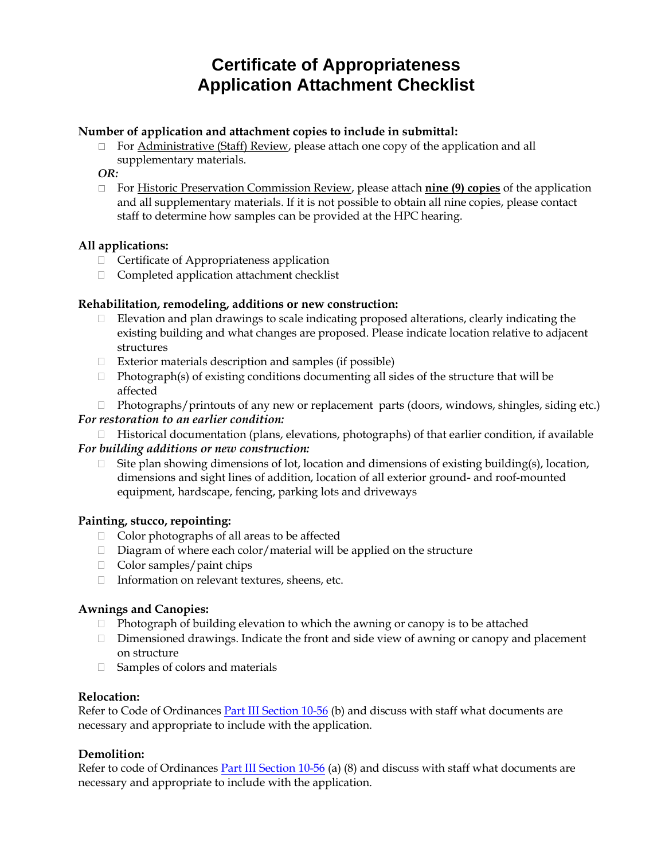### **Certificate of Appropriateness Application Attachment Checklist**

#### **Number of application and attachment copies to include in submittal:**

 $\Box$  For Administrative (Staff) Review, please attach one copy of the application and all supplementary materials.

#### *OR:*

 For Historic Preservation Commission Review, please attach **nine (9) copies** of the application and all supplementary materials. If it is not possible to obtain all nine copies, please contact staff to determine how samples can be provided at the HPC hearing.

#### **All applications:**

- $\Box$  Certificate of Appropriateness application
- □ Completed application attachment checklist

#### **Rehabilitation, remodeling, additions or new construction:**

- $\Box$  Elevation and plan drawings to scale indicating proposed alterations, clearly indicating the existing building and what changes are proposed. Please indicate location relative to adjacent structures
- $\Box$  Exterior materials description and samples (if possible)
- $\Box$  Photograph(s) of existing conditions documenting all sides of the structure that will be affected
- $\Box$  Photographs/printouts of any new or replacement parts (doors, windows, shingles, siding etc.)

#### *For restoration to an earlier condition:*

 $\Box$  Historical documentation (plans, elevations, photographs) of that earlier condition, if available

#### *For building additions or new construction:*

 $\Box$  Site plan showing dimensions of lot, location and dimensions of existing building(s), location, dimensions and sight lines of addition, location of all exterior ground- and roof-mounted equipment, hardscape, fencing, parking lots and driveways

#### **Painting, stucco, repointing:**

- $\Box$  Color photographs of all areas to be affected
- $\Box$  Diagram of where each color/material will be applied on the structure
- □ Color samples/paint chips
- □ Information on relevant textures, sheens, etc.

### **Awnings and Canopies:**

- $\Box$  Photograph of building elevation to which the awning or canopy is to be attached
- $\Box$  Dimensioned drawings. Indicate the front and side view of awning or canopy and placement on structure
- $\Box$  Samples of colors and materials

#### **Relocation:**

Refer to Code of Ordinances Part III Section 10-56 (b) and discuss with staff what documents are necessary and appropriate to include with the application.

#### **Demolition:**

Refer to code of Ordinances Part III Section 10-56 (a) (8) and discuss with staff what documents are necessary and appropriate to include with the application.